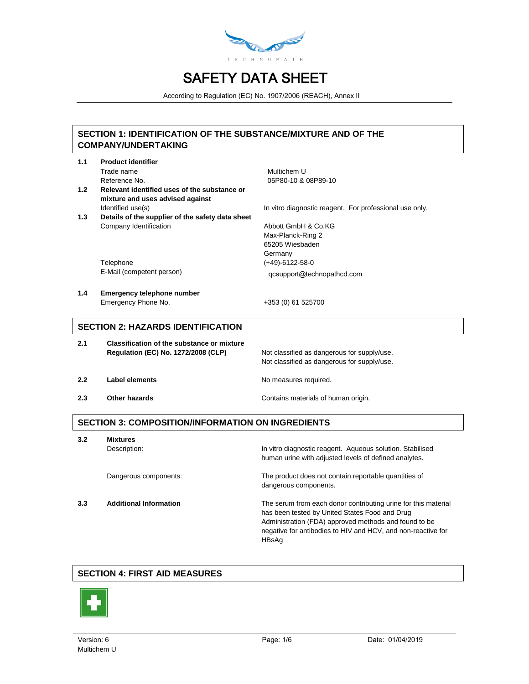

According to Regulation (EC) No. 1907/2006 (REACH), Annex II

### **SECTION 1: IDENTIFICATION OF THE SUBSTANCE/MIXTURE AND OF THE COMPANY/UNDERTAKING**

| 1.1 | <b>Product identifier</b>                        |                                                         |
|-----|--------------------------------------------------|---------------------------------------------------------|
|     | Trade name                                       | Multichem U                                             |
|     | Reference No.                                    | 05P80-10 & 08P89-10                                     |
| 1.2 | Relevant identified uses of the substance or     |                                                         |
|     | mixture and uses advised against                 |                                                         |
|     | Identified use(s)                                | In vitro diagnostic reagent. For professional use only. |
| 1.3 | Details of the supplier of the safety data sheet |                                                         |
|     | Company Identification                           | Abbott GmbH & Co.KG                                     |
|     |                                                  | Max-Planck-Ring 2                                       |
|     |                                                  | 65205 Wiesbaden                                         |
|     |                                                  | Germany                                                 |
|     | Telephone                                        | $(+49) - 6122 - 58 - 0$                                 |
|     | E-Mail (competent person)                        | qcsupport@technopathcd.com                              |
|     |                                                  |                                                         |
| 1.4 | <b>Emergency telephone number</b>                |                                                         |
|     | Emergency Phone No.                              | +353 (0) 61 525700                                      |
|     |                                                  |                                                         |
|     | <b>SECTION 2: HAZARDS IDENTIFICATION</b>         |                                                         |
|     |                                                  |                                                         |
| 2.1 | Classification of the substance or mixture       |                                                         |
|     | <b>Regulation (EC) No. 1272/2008 (CLP)</b>       | Not classified as dangerous for supply/use.             |
|     |                                                  | Not classified as dangerous for supply/use.             |
|     |                                                  |                                                         |
| 2.2 | Label elements                                   | No measures required.                                   |
|     |                                                  |                                                         |
| 2.3 | Other hazards                                    | Contains materials of human origin.                     |

### **SECTION 3: COMPOSITION/INFORMATION ON INGREDIENTS**

**3.2 Mixtures**

Description: **In vitro diagnostic reagent.** Aqueous solution. Stabilised human urine with adjusted levels of defined analytes.

Dangerous components: The product does not contain reportable quantities of dangerous components.

**3.3 Additional Information** The serum from each donor contributing urine for this material has been tested by United States Food and Drug Administration (FDA) approved methods and found to be negative for antibodies to HIV and HCV, and non-reactive for HBsAg

### **SECTION 4: FIRST AID MEASURES**

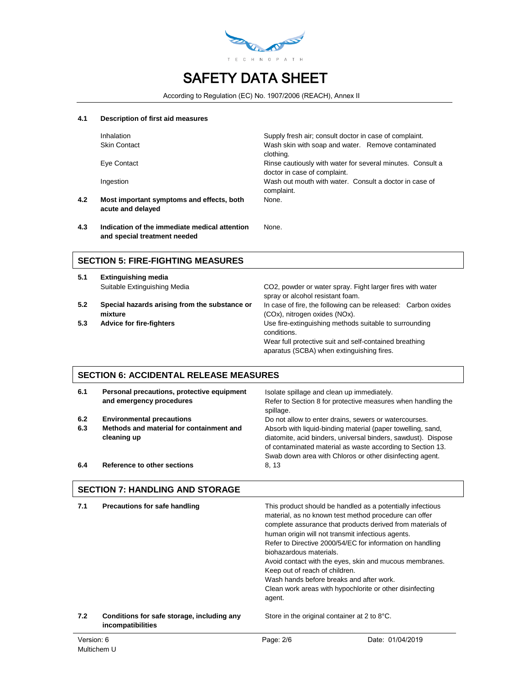

According to Regulation (EC) No. 1907/2006 (REACH), Annex II

#### **4.1 Description of first aid measures**

|     | <b>Inhalation</b>                                              | Supply fresh air; consult doctor in case of complaint.                                     |
|-----|----------------------------------------------------------------|--------------------------------------------------------------------------------------------|
|     | <b>Skin Contact</b>                                            | Wash skin with soap and water. Remove contaminated<br>clothing.                            |
|     | Eye Contact                                                    | Rinse cautiously with water for several minutes. Consult a<br>doctor in case of complaint. |
|     | Ingestion                                                      | Wash out mouth with water. Consult a doctor in case of<br>complaint.                       |
| 4.2 | Most important symptoms and effects, both<br>acute and delayed | None.                                                                                      |
|     |                                                                |                                                                                            |

**4.3 Indication of the immediate medical attention and special treatment needed** None.

#### **SECTION 5: FIRE-FIGHTING MEASURES**

- **5.1 Extinguishing media**
- **5.2 Special hazards arising from the substance or mixture**
- 

Suitable Extinguishing Media CO2, powder or water spray. Fight larger fires with water spray or alcohol resistant foam. In case of fire, the following can be released: Carbon oxides (COx), nitrogen oxides (NOx). **5.3 Advice for fire-fighters** Use fire-extinguishing methods suitable to surrounding conditions. Wear full protective suit and self-contained breathing aparatus (SCBA) when extinguishing fires.

## **SECTION 6: ACCIDENTAL RELEASE MEASURES**

| 6.1        | Personal precautions, protective equipment<br>and emergency procedures                      | Isolate spillage and clean up immediately.<br>Refer to Section 8 for protective measures when handling the<br>spillage.                                                                                                                                                                                         |
|------------|---------------------------------------------------------------------------------------------|-----------------------------------------------------------------------------------------------------------------------------------------------------------------------------------------------------------------------------------------------------------------------------------------------------------------|
| 6.2<br>6.3 | <b>Environmental precautions</b><br>Methods and material for containment and<br>cleaning up | Do not allow to enter drains, sewers or watercourses.<br>Absorb with liquid-binding material (paper towelling, sand,<br>diatomite, acid binders, universal binders, sawdust). Dispose<br>of contaminated material as waste according to Section 13.<br>Swab down area with Chloros or other disinfecting agent. |
| 6.4        | Reference to other sections                                                                 | 8, 13                                                                                                                                                                                                                                                                                                           |

## **SECTION 7: HANDLING AND STORAGE**

| 7.1        | Precautions for safe handling                                   | biohazardous materials.<br>Keep out of reach of children.<br>agent. | This product should be handled as a potentially infectious<br>material, as no known test method procedure can offer<br>complete assurance that products derived from materials of<br>human origin will not transmit infectious agents.<br>Refer to Directive 2000/54/EC for information on handling<br>Avoid contact with the eyes, skin and mucous membranes.<br>Wash hands before breaks and after work.<br>Clean work areas with hypochlorite or other disinfecting |
|------------|-----------------------------------------------------------------|---------------------------------------------------------------------|------------------------------------------------------------------------------------------------------------------------------------------------------------------------------------------------------------------------------------------------------------------------------------------------------------------------------------------------------------------------------------------------------------------------------------------------------------------------|
| 7.2        | Conditions for safe storage, including any<br>incompatibilities |                                                                     | Store in the original container at 2 to 8°C.                                                                                                                                                                                                                                                                                                                                                                                                                           |
| Version: 6 |                                                                 | Page: 2/6                                                           | Date: 01/04/2019                                                                                                                                                                                                                                                                                                                                                                                                                                                       |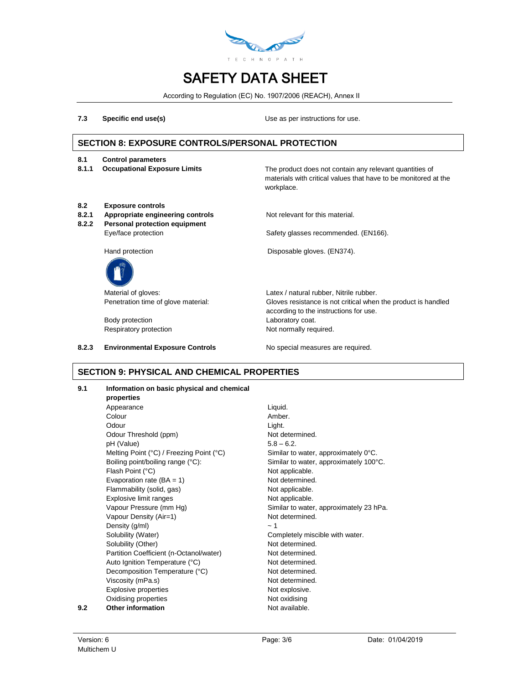

According to Regulation (EC) No. 1907/2006 (REACH), Annex II

**7.3 Specific end use(s)** Use as per instructions for use.

## **SECTION 8: EXPOSURE CONTROLS/PERSONAL PROTECTION**

- **8.1 Control parameters**
- 

**8.1.1 Occupational Exposure Limits** The product does not contain any relevant quantities of materials with critical values that have to be monitored at the workplace.

- **8.2 Exposure controls**
- **8.2.1 Appropriate engineering controls** Not relevant for this material.
- **8.2.2 Personal protection equipment**

Eye/face protection Safety glasses recommended. (EN166).

Hand protection **EXECUTE:** Disposable gloves. (EN374).



Body protection **Laboratory coat.** Respiratory protection Not normally required.

Material of gloves:  $Lates / natural rubber$ , Nitrile rubber. Penetration time of glove material: Gloves resistance is not critical when the product is handled according to the instructions for use.

8.2.3 **Environmental Exposure Controls** No special measures are required.

### **SECTION 9: PHYSICAL AND CHEMICAL PROPERTIES**

#### **9.1 Information on basic physical and chemical**

**properties** Appearance Liquid. Colour **Amber.** Odour **Light.** Odour Threshold (ppm) Not determined.  $pH (Value)$  5.8 – 6.2. Melting Point (°C) / Freezing Point (°C) Similar to water, approximately 0°C. Boiling point/boiling range (°C): Similar to water, approximately 100°C. Flash Point (°C) and the contract of the Not applicable. Evaporation rate  $(BA = 1)$  Not determined. Flammability (solid, gas) Not applicable. Explosive limit ranges Not applicable. Vapour Pressure (mm Hg) Similar to water, approximately 23 hPa. Vapour Density (Air=1) Not determined. Density  $(g/ml)$   $\sim 1$ Solubility (Water) Completely miscible with water. Solubility (Other) Not determined. Partition Coefficient (n-Octanol/water) Not determined. Auto Ignition Temperature (°C) Not determined. Decomposition Temperature (°C) Not determined. Viscosity (mPa.s) Not determined. Explosive properties Not explosive. Oxidising properties Not oxidising **9.2 Other information Not available.**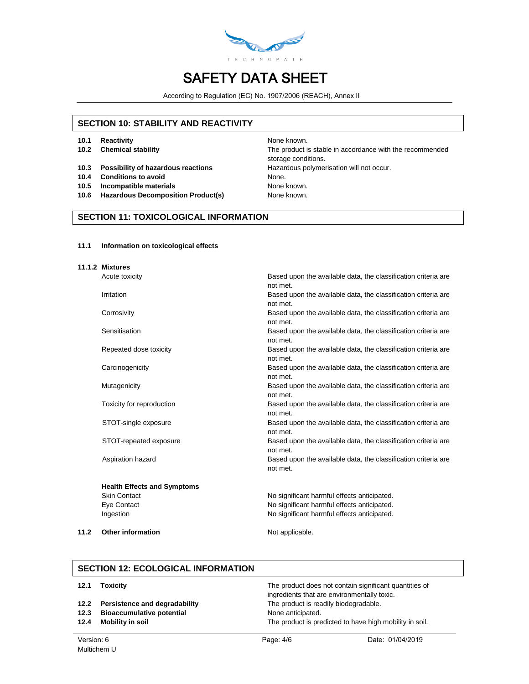

According to Regulation (EC) No. 1907/2006 (REACH), Annex II

### **SECTION 10: STABILITY AND REACTIVITY**

- **10.1 Reactivity None known.** None known.
- 
- **10.3 Possibility of hazardous reactions** Hazardous polymerisation will not occur.
- **10.4 Conditions to avoid** None.
- **10.5 Incompatible materials** None known.
- **10.6 Hazardous Decomposition Product(s)** None known.

**10.2 Chemical stability** The product is stable in accordance with the recommended storage conditions.

### **SECTION 11: TOXICOLOGICAL INFORMATION**

#### **11.1 Information on toxicological effects**

| 11.1.2 Mixtures                    |                                                                            |
|------------------------------------|----------------------------------------------------------------------------|
| Acute toxicity                     | Based upon the available data, the classification criteria are<br>not met. |
| Irritation                         | Based upon the available data, the classification criteria are<br>not met. |
| Corrosivity                        | Based upon the available data, the classification criteria are<br>not met. |
| Sensitisation                      | Based upon the available data, the classification criteria are<br>not met. |
| Repeated dose toxicity             | Based upon the available data, the classification criteria are<br>not met. |
| Carcinogenicity                    | Based upon the available data, the classification criteria are<br>not met. |
| Mutagenicity                       | Based upon the available data, the classification criteria are<br>not met. |
| Toxicity for reproduction          | Based upon the available data, the classification criteria are<br>not met. |
| STOT-single exposure               | Based upon the available data, the classification criteria are<br>not met. |
| STOT-repeated exposure             | Based upon the available data, the classification criteria are<br>not met. |
| Aspiration hazard                  | Based upon the available data, the classification criteria are<br>not met. |
| <b>Health Effects and Symptoms</b> |                                                                            |
| <b>Skin Contact</b>                | No significant harmful effects anticipated.                                |
| Eye Contact                        | No significant harmful effects anticipated.                                |
| Ingestion                          | No significant harmful effects anticipated.                                |

**11.2 Other information** Not applicable.

#### **SECTION 12: ECOLOGICAL INFORMATION**

| 12.1 | Toxicity                           | The product does not contain significant quantities of<br>ingredients that are environmentally toxic. |
|------|------------------------------------|-------------------------------------------------------------------------------------------------------|
|      | 12.2 Persistence and degradability | The product is readily biodegradable.                                                                 |
| 12.3 | <b>Bioaccumulative potential</b>   | None anticipated.                                                                                     |
| 12.4 | Mobility in soil                   | The product is predicted to have high mobility in soil.                                               |
|      |                                    |                                                                                                       |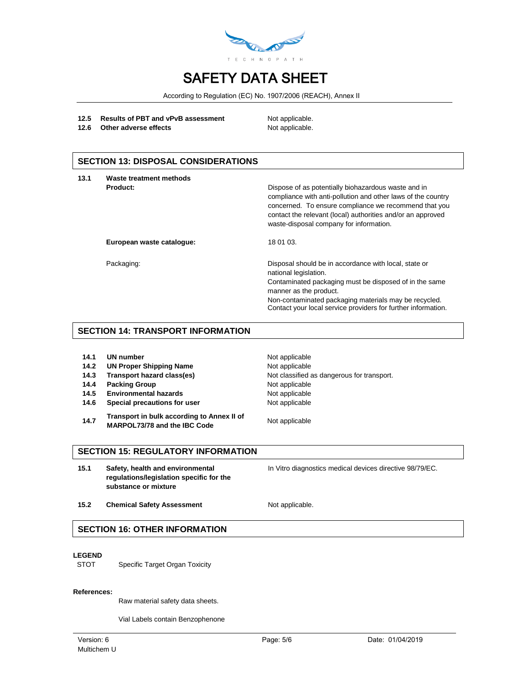

According to Regulation (EC) No. 1907/2006 (REACH), Annex II

#### 12.5 **Results of PBT and vPvB assessment** Not applicable.

**12.6** Other adverse effects Not applicable.

#### **SECTION 13: DISPOSAL CONSIDERATIONS**

| 13.1 | Waste treatment methods   |                                                                                                                                                                                                                                                                                              |
|------|---------------------------|----------------------------------------------------------------------------------------------------------------------------------------------------------------------------------------------------------------------------------------------------------------------------------------------|
|      | Product:                  | Dispose of as potentially biohazardous waste and in<br>compliance with anti-pollution and other laws of the country<br>concerned. To ensure compliance we recommend that you<br>contact the relevant (local) authorities and/or an approved<br>waste-disposal company for information.       |
|      | European waste catalogue: | 18 01 03.                                                                                                                                                                                                                                                                                    |
|      | Packaging:                | Disposal should be in accordance with local, state or<br>national legislation.<br>Contaminated packaging must be disposed of in the same<br>manner as the product.<br>Non-contaminated packaging materials may be recycled.<br>Contact your local service providers for further information. |

#### **SECTION 14: TRANSPORT INFORMATION**

| 14.1 |  | UN number |
|------|--|-----------|
|------|--|-----------|

- **14.2 UN Proper Shipping Name** Not applicable
- 
- **14.4 Packing Group Not applicable**
- 14.5 **Environmental hazards** Not applicable
- **14.6 Special precautions for user** Not applicable
- **14.7 Transport in bulk according to Annex II of MARPOL73/78 and the IBC Code** Not applicable

**Not applicable 14.3 Transport hazard class(es)** Not classified as dangerous for transport.

### **SECTION 15: REGULATORY INFORMATION**

**15.1 Safety, health and environmental regulations/legislation specific for the substance or mixture**

In Vitro diagnostics medical devices directive 98/79/EC.

15.2 **Chemical Safety Assessment** Not applicable.

### **SECTION 16: OTHER INFORMATION**

#### **LEGEND**

STOT Specific Target Organ Toxicity

#### **References:**

Raw material safety data sheets.

Vial Labels contain Benzophenone